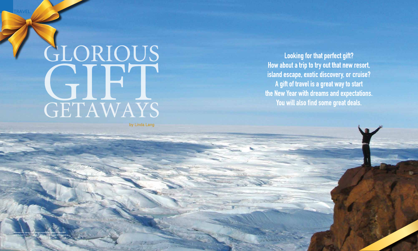# GLORIOUS<br>GETAWAYS

by Linda Lang

**Looking for that perfect gift?** How about a trip to try out that new resort, island escape, exotic discovery, or cruise? A gift of travel is a great way to start the New Year with dreams and expectations. You will also find some great deals.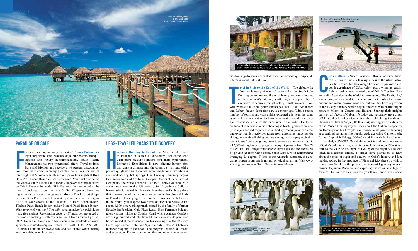Spa tours, go to www.enchantedexpeditions.com/english/special\_ interest/special\_interest.html.

**Figure 1.5 ravel In Style to the End of the World -- To celebrate the** 100th anniversary of man's first arrival at the South Pole, Kensington Antarctica, the only luxury eco-camp located in the continent's interior, is offering a new portfolio of exclusive itineraries for jet-setting thrill seekers. You will witness the same polar landscapes that Roald Amundsen and Robert Falcon Scott first saw a century ago. With a record number of tourists and cruise ships expected this year, the camp is an exclusive alternative for those who want to avoid the crowds and experience an authentic encounter in the wilds. Exclusive centennial itineraries include champagne toasts, gourmet cuisine, private jets and red carpet arrivals. Led by veteran polar explorers and expert guides, activities range from adrenaline-inducing kite skiing, mountain climbing and ice caving to champagne picnics, walks to see Adelie penguins, visits to science stations or a flight to a 12,000-strong Emperor penguin colony. Departures from Nov. 22 to Dec. 19, 2011 range from three to eight days and are accessible by private jet from Cape Town, South Africa. With temperatures averaging 23 degrees F (this is the Antarctic summer), the ecocamp is open to anyone in normal physical condition. Visit www. kensingtontours.com/Tours/Antarctica-and-Arctic.

or those wanting to enjoy the best of **French Polynesia**'s legendary white sand beaches, aqua blue waters, tranquil lagoons and luxury accommodations, South Pacific Management has two exceptional offers. Travel to Bora Bor or those wanting to enjoy the best of **French Polynesia**'s legendary white sand beaches, aqua blue waters, tranquil **lagoons** and luxury accommodations, South Pacific Management has two exceptional offers. Travel to Bora Bora and Moorea and receive a 40 percent discount on three nights at Moorea Pearl Resort & Spa or four nights at Bora Bora Pearl Beach Resort & Spa is required. You must also select the Manava Suite Resort Tahiti for any stopover accommodations on Tahiti. Reservation code "HS40%" must be referenced at the time of booking. To get the "Buy 5, Get 5" special, book five nights in an over-water bungalow at Moorea Pearl Resort & Spa or Bora Bora Pearl Beach Resort & Spa and receive five nights FREE at your choice of the Huahine Te Tiare Beach Resort, Tikehau Pearl Beach Resort and/or Manihi Pearl Beach Resort. Want to extend you stay? The offer is cumulative (six paid nights)  $=$  six free nights). Reservation code "5=5" must be referenced at the time of booking. Both offers are valid from now to April 30, 2012. Details on these and other specials are available at www. spmhotels.com/article/special-offers or call 1-866-209-3901. Children 14 and under always stay and eat for free when sharing accommodations with parents.



# PARADISE ON SALE

acienda Hopping in Ecuador -- Most people travel<br>to Ecuador in search of adventure. For those who<br>want more creature comforts with their explorations,<br>Enchanted Expeditions is now offering luxury trips<br>that grant a glimpse **acienda Hopping in Ecuador** -- Most people travel to Ecuador in search of adventure. For those who want more creature comforts with their explorations, Enchanted Expeditions is now offering luxury trips that grant a glimpse into the country's rich past while spas and healing hot springs. One five-day itinerary begins two hours south of Quito at Cotopaxi National Park, site of Cotopaxto--the world's highest (19,348 ft.) active volcano, with accommodations in the  $15<sup>th</sup>$  century San Agustin de Callo, a luxuriously-furnished farmhouse built on the site of an Inca palace that remains one of the two most important archaeological finds in Ecuador. Journeying to the northern province of Imbabura in the Andes, you'll spend two nights at Hacienda Zuleta, a 19 room, 4,000-acre working ranch owned by the family of former Ecuadorian President Galo Plaza Lasso. Host Fernando Polanco takes visitors hiking to Condor Huasi where Andean Condors are being reintroduced into the wild. You can also ride pure bred horses raised at the hacienda. The last evening is at the 23-room La Mirage Garden Hotel and Spa, the only Relais & Chateaux member property in Ecuador. The program includes all meals and excursions. For information on this and other Hacienda and



# Less-Traveled Roads to Discovery

**Exercicions**<br>
International Safari Operator<br>
Republicance Contained Safari Operator **uba Calling** -- Since President Obama loosened travel restrictions to Cuba in January, access to the island nation is a little easier for the average traveler. To provide an indepth experience of Cuba today, award-winning Austin-Lehman Adventures, named one of 2011's Top Best Tour and Safari Operators in the World, is introducing "The Real Cuba," a new program designed to immerse you in the island's history, current economic environment and culture. We have a preview of the 10-day itinerary which begins and ends with charter flights between Miami or Cancun and Havana. Sharing their insights daily on all facets of Cuban life today and yesterday are a group of Christopher P. Baker's Cuban friends. Highlighting four days in Havana are Habana Vieja (Old Havana); meeting with the director of the Museo Hemingway to learn about the Cuban perspective on Hemingway, his lifestyle, and former home prior to lunching at a seafood restaurant he popularized; exploring Capitolio (the former Capitol building), Malecón and Plaza de la Revolución. In Trinidad, a UNESCO World Heritage Site and most impressive of Cuba's colonial cities, adventures include taking a 1906 steam train to the Valle de los Ingenios (Valley of the Sugar Mills) with lunch at Hacienda Iznaga, a former slave plantation, to learn about the roles of sugar and slavery in Cuba's history and lace making today. In the province of Pinar del Río, there's a visit to Finca Pinar San Luís, the private plantation of legendary tobacco farmer Alejandro Robaina, and exploring the colonial village of Viñales. En route to Las Terrazas, you'll see Central via Cuevas





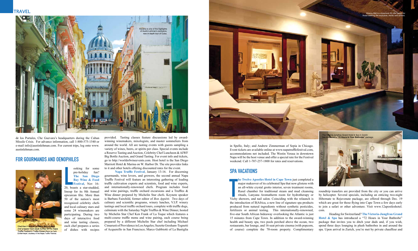de los Portales, Che Guevara's headquarters during the Cuban Missile Crisis. For advance information, call 1-800-575-1540 or e-mail info@austinlehman.com. For current trips, log onto www. austinlehman.com.

# For Gourmands and Oenophiles



chef prepare fresh black truffles for the Napa Truffle Festival's Truffle Dinner.Photo by Faith<br>Echtermeyer, courtesy of the Napa Truffle Festival.

ooking for some<br>
pre-holiday fun?<br>
The San Diego<br>
Bay Wine & Food<br>
Festival, Nov 16-<br>
20, boasts a star-studded, ooking for some pre-holiday fun? **The San Diego Bay Wine & Food Festival**, Nov 16lineup for its 8th Annual epicurean fête. More than 50 of the nation's most recognized celebrity chefs and local culinary stars and some 24 winemakers are participating. During two days of interactive food and wine tasting classes, each chef prepares a series of dishes with recipes

provided. Tasting classes feature discussions led by awardwinning winemakers, mixologists, and master sommeliers from around the world. All are tasting events with guests sampling a variety of wines, beers, or spirits per class. Special events include a Reserve Tasting and Auction, Celebrity Chef Luncheon & AIWF Big Bottle Auction, and Grand Tasting. For event info and tickets, go to http://worldofwineevents.com. Host hotel is the San Diego Marriott Hotel & Marina on W. Harbor Dr. The site provides links to it and other hotels offering discounted rates for the event.

> **he Twelve Apostles Hotel in Cape Town** just completed a major makeover of its celebrated Spa that now glistens with an all-white crystal grotto interior, seven treatment rooms, Rasul chamber for traditional steam and mud cleansing rituals, Lanyana Aromatherm room for hydrotherapy or Vichy showers, and nail salon. Coinciding with the relaunch is the introduction of B|Africa, a new line of signature spa products produced from natural ingredients without synthetic pesticides, fertilizers or animal testing. This internationally-renowned, five-star South African hideaway overlooking the Atlantic is just 15 minutes from Cape Town. In addition to the award-winning health and beauty spa, two pools perched above the ocean, two restaurants, bar lounge, and 16-seat private cinema (with popcorn, of course) complete the 70-room property. Complimentary

Viceroy Bali is a luxurious 25-villa h those seeking the exclusive, exotic and serene

 **Napa Truffle Festival**, January 13-16. For discerning gourmands, wine lovers, and growers, the second annual Napa Truffle Festival will feature an interesting gathering of leading truffle cultivation experts and scientists, food and wine experts, and internationally-renowned chefs. Program includes food and wine pairings, truffle orchard excursions and a Truffles & Wine dinner prepared by Michelin Star chefs. Keynote speaker is Barbara Fairchild, former editor of *Bon Appétit*. Two days of culinary and scientific programs, winery lunches, V.I.P. winery tastings and local truffle orchard tours, complete with truffle dogs, culminate with the Saturday Night Truffles & Wine Dinner, hosted by Michelin Star Chef Ken Frank of La Toque which features a multi-course truffle menu and wine pairing, each course being prepared by a different Michelin Star chef including Michael Cimarusti of Providence in Los Angeles; Suzette Gresham-Tognetti of Acquerello in San Francisco; Marco Gubbiotti of La Bastiglia



# SPA VACATIONS

in Spello, Italy; and Andrew Zimmerman of Sepia in Chicago. Event tickets are available online at www.napatrufflefestival.com, accommodations not included. The Westin Verasa in downtown Napa will be the host venue and offer a special rate for the Festival weekend. Call 1-707-257-1800 for rates and reservations.

> roundtrip transfers are provided from the city or you can arrive by helicopter. Several specials, including an enticing two-night Hibernate to Rejuvenate package, are offered through Dec. 19 which are great for those flying into Cape Town a few days early to join a safari or other adventure. Visit www.12apostleshotel. com.

> Heading for Switzerland? **The Victoria-Jungfrau Grand Hotel & Spa** has introduced a "72 Hours in Your Bathrobe" package that invites you to ditch your duds and, if you wish, spend three days lounging in plush bathrobes in and around the spa. Upon arrival in Zurich, you're met by private chauffeur and

## **TRAVEL**